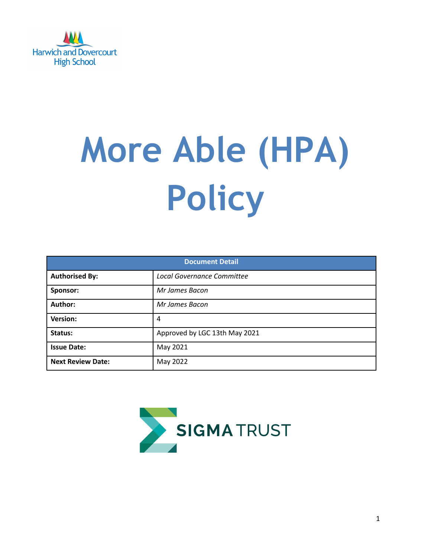

# **More Able (HPA) Policy**

| <b>Document Detail</b>   |                                   |  |
|--------------------------|-----------------------------------|--|
| <b>Authorised By:</b>    | <b>Local Governance Committee</b> |  |
| Sponsor:                 | Mr James Bacon                    |  |
| Author:                  | Mr James Bacon                    |  |
| Version:                 | 4                                 |  |
| Status:                  | Approved by LGC 13th May 2021     |  |
| <b>Issue Date:</b>       | May 2021                          |  |
| <b>Next Review Date:</b> | May 2022                          |  |

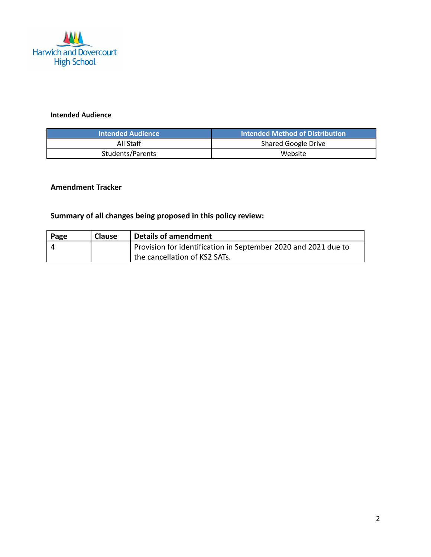

### **Intended Audience**

| <b>Intended Audience</b> | <b>Intended Method of Distribution</b> |
|--------------------------|----------------------------------------|
| All Staff                | Shared Google Drive                    |
| Students/Parents         | Website                                |

## **Amendment Tracker**

# **Summary of all changes being proposed in this policy review:**

| Page | <b>Clause</b> | <b>Details of amendment</b>                                    |
|------|---------------|----------------------------------------------------------------|
|      |               | Provision for identification in September 2020 and 2021 due to |
|      |               | the cancellation of KS2 SATs.                                  |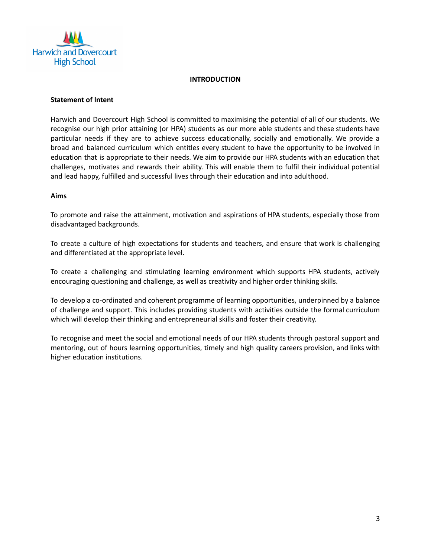

#### **INTRODUCTION**

#### **Statement of Intent**

Harwich and Dovercourt High School is committed to maximising the potential of all of our students. We recognise our high prior attaining (or HPA) students as our more able students and these students have particular needs if they are to achieve success educationally, socially and emotionally. We provide a broad and balanced curriculum which entitles every student to have the opportunity to be involved in education that is appropriate to their needs. We aim to provide our HPA students with an education that challenges, motivates and rewards their ability. This will enable them to fulfil their individual potential and lead happy, fulfilled and successful lives through their education and into adulthood.

#### **Aims**

To promote and raise the attainment, motivation and aspirations of HPA students, especially those from disadvantaged backgrounds.

To create a culture of high expectations for students and teachers, and ensure that work is challenging and differentiated at the appropriate level.

To create a challenging and stimulating learning environment which supports HPA students, actively encouraging questioning and challenge, as well as creativity and higher order thinking skills.

To develop a co-ordinated and coherent programme of learning opportunities, underpinned by a balance of challenge and support. This includes providing students with activities outside the formal curriculum which will develop their thinking and entrepreneurial skills and foster their creativity.

To recognise and meet the social and emotional needs of our HPA students through pastoral support and mentoring, out of hours learning opportunities, timely and high quality careers provision, and links with higher education institutions.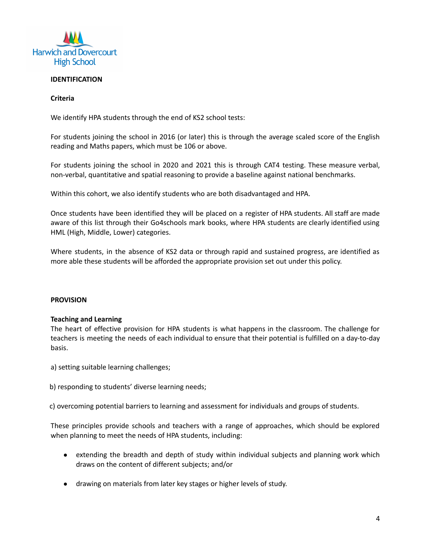

#### **IDENTIFICATION**

#### **Criteria**

We identify HPA students through the end of KS2 school tests:

For students joining the school in 2016 (or later) this is through the average scaled score of the English reading and Maths papers, which must be 106 or above.

For students joining the school in 2020 and 2021 this is through CAT4 testing. These measure verbal, non-verbal, quantitative and spatial reasoning to provide a baseline against national benchmarks.

Within this cohort, we also identify students who are both disadvantaged and HPA.

Once students have been identified they will be placed on a register of HPA students. All staff are made aware of this list through their Go4schools mark books, where HPA students are clearly identified using HML (High, Middle, Lower) categories.

Where students, in the absence of KS2 data or through rapid and sustained progress, are identified as more able these students will be afforded the appropriate provision set out under this policy.

#### **PROVISION**

#### **Teaching and Learning**

The heart of effective provision for HPA students is what happens in the classroom. The challenge for teachers is meeting the needs of each individual to ensure that their potential is fulfilled on a day-to-day basis.

a) setting suitable learning challenges;

b) responding to students' diverse learning needs;

c) overcoming potential barriers to learning and assessment for individuals and groups of students.

These principles provide schools and teachers with a range of approaches, which should be explored when planning to meet the needs of HPA students, including:

- extending the breadth and depth of study within individual subjects and planning work which draws on the content of different subjects; and/or
- drawing on materials from later key stages or higher levels of study.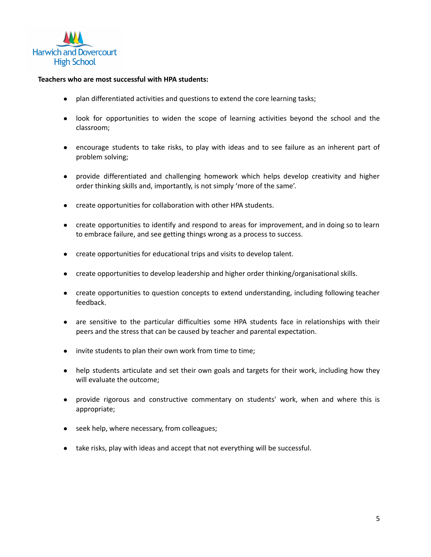

#### **Teachers who are most successful with HPA students:**

- plan differentiated activities and questions to extend the core learning tasks;
- look for opportunities to widen the scope of learning activities beyond the school and the classroom;
- encourage students to take risks, to play with ideas and to see failure as an inherent part of problem solving;
- provide differentiated and challenging homework which helps develop creativity and higher order thinking skills and, importantly, is not simply 'more of the same'.
- create opportunities for collaboration with other HPA students.
- create opportunities to identify and respond to areas for improvement, and in doing so to learn to embrace failure, and see getting things wrong as a process to success.
- create opportunities for educational trips and visits to develop talent.
- create opportunities to develop leadership and higher order thinking/organisational skills.
- create opportunities to question concepts to extend understanding, including following teacher feedback.
- are sensitive to the particular difficulties some HPA students face in relationships with their peers and the stress that can be caused by teacher and parental expectation.
- invite students to plan their own work from time to time;
- help students articulate and set their own goals and targets for their work, including how they will evaluate the outcome;
- provide rigorous and constructive commentary on students' work, when and where this is appropriate;
- seek help, where necessary, from colleagues;
- take risks, play with ideas and accept that not everything will be successful.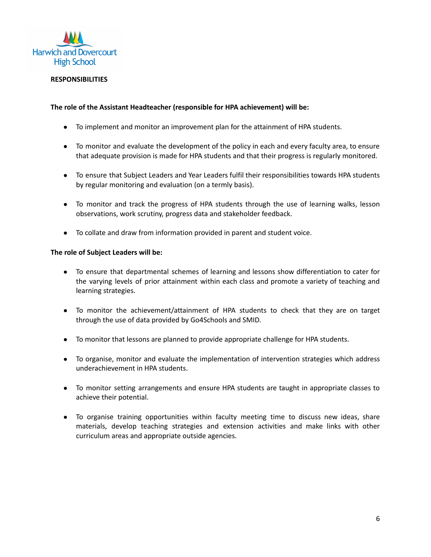

#### **RESPONSIBILITIES**

#### **The role of the Assistant Headteacher (responsible for HPA achievement) will be:**

- To implement and monitor an improvement plan for the attainment of HPA students.
- To monitor and evaluate the development of the policy in each and every faculty area, to ensure that adequate provision is made for HPA students and that their progress is regularly monitored.
- To ensure that Subject Leaders and Year Leaders fulfil their responsibilities towards HPA students by regular monitoring and evaluation (on a termly basis).
- To monitor and track the progress of HPA students through the use of learning walks, lesson observations, work scrutiny, progress data and stakeholder feedback.
- To collate and draw from information provided in parent and student voice.

#### **The role of Subject Leaders will be:**

- To ensure that departmental schemes of learning and lessons show differentiation to cater for the varying levels of prior attainment within each class and promote a variety of teaching and learning strategies.
- To monitor the achievement/attainment of HPA students to check that they are on target through the use of data provided by Go4Schools and SMID.
- To monitor that lessons are planned to provide appropriate challenge for HPA students.
- To organise, monitor and evaluate the implementation of intervention strategies which address underachievement in HPA students.
- To monitor setting arrangements and ensure HPA students are taught in appropriate classes to achieve their potential.
- To organise training opportunities within faculty meeting time to discuss new ideas, share materials, develop teaching strategies and extension activities and make links with other curriculum areas and appropriate outside agencies.